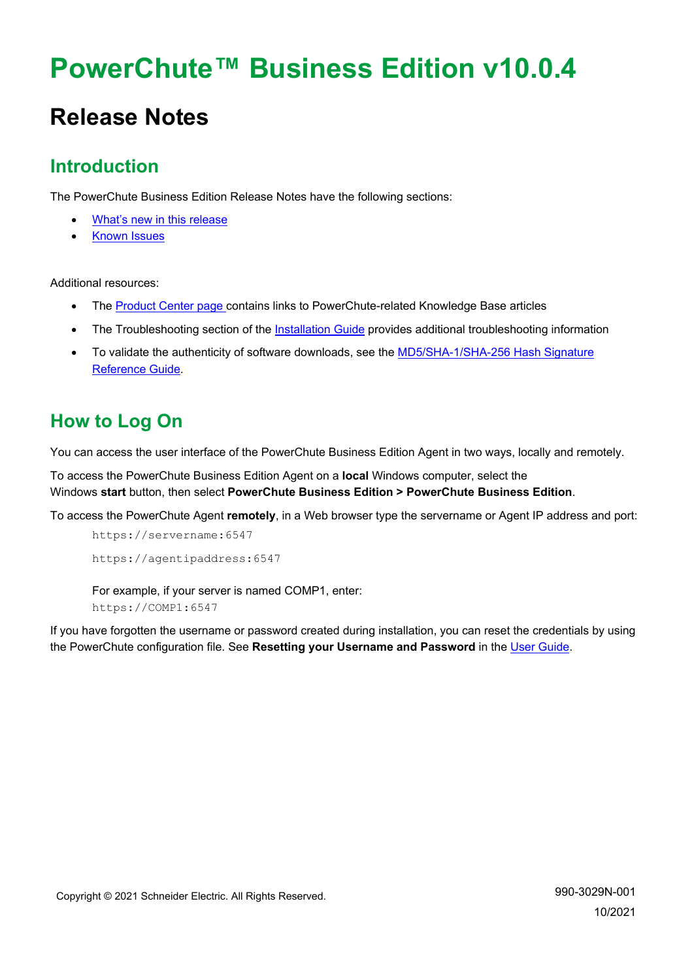# **PowerChute™ Business Edition v10.0.4**

# **Release Notes**

# **Introduction**

The PowerChute Business Edition Release Notes have the following sections:

- [What's new in this release](#page-0-0)
- [Known Issues](#page-1-0)

Additional resources:

- The [Product Center page c](https://www.apc.com/us/en/download/document/SPD_PCBE-ProductCenter_EN/)ontains links to PowerChute-related Knowledge Base articles
- The Troubleshooting section of the [Installation Guide](https://www.apc.com/us/en/download/document/SPD_PMAR-9BUL4B_EN/) provides additional troubleshooting information
- To validate the authenticity of software downloads, see the [MD5/SHA-1/SHA-256](https://www.apc.com/us/en/download/document/SPD_CCON-PCBEREF_EN/) Hash Signature [Reference Guide.](https://www.apc.com/us/en/download/document/SPD_CCON-PCBEREF_EN/)

# **How to Log On**

You can access the user interface of the PowerChute Business Edition Agent in two ways, locally and remotely.

To access the PowerChute Business Edition Agent on a **local** Windows computer, select the Windows **start** button, then select **PowerChute Business Edition > PowerChute Business Edition**.

To access the PowerChute Agent **remotely**, in a Web browser type the servername or Agent IP address and port:

```
https://servername:6547
https://agentipaddress:6547
```
For example, if your server is named COMP1, enter: https://COMP1:6547

<span id="page-0-0"></span>If you have forgotten the username or password created during installation, you can reset the credentials by using the PowerChute configuration file. See **Resetting your Username and Password** in the [User Guide.](https://www.apc.com/us/en/download/document/SPD_PMAR-9BULAD_EN)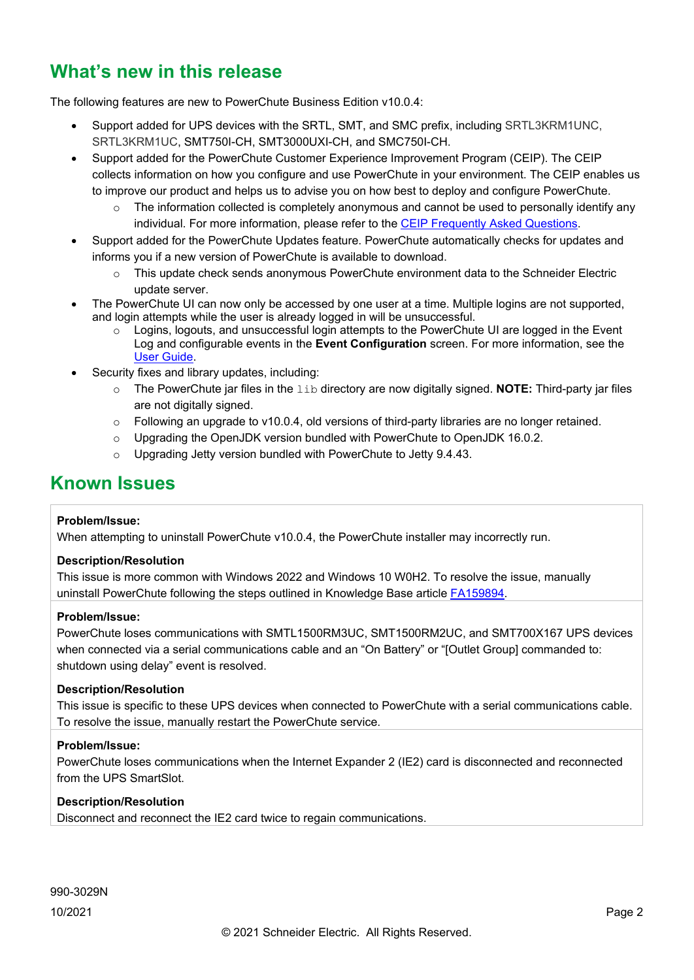# **What's new in this release**

The following features are new to PowerChute Business Edition v10.0.4:

- Support added for UPS devices with the SRTL, SMT, and SMC prefix, including SRTL3KRM1UNC, SRTL3KRM1UC, SMT750I-CH, SMT3000UXI-CH, and SMC750I-CH.
- Support added for the PowerChute Customer Experience Improvement Program (CEIP). The CEIP collects information on how you configure and use PowerChute in your environment. The CEIP enables us to improve our product and helps us to advise you on how best to deploy and configure PowerChute.
	- $\circ$  The information collected is completely anonymous and cannot be used to personally identify any individual. For more information, please refer to the [CEIP Frequently Asked Questions.](https://www.apc.com/us/en/download/document/SPD_CCON-PCCEIP_EN/)
- Support added for the PowerChute Updates feature. PowerChute automatically checks for updates and informs you if a new version of PowerChute is available to download.
	- o This update check sends anonymous PowerChute environment data to the Schneider Electric update server.
- The PowerChute UI can now only be accessed by one user at a time. Multiple logins are not supported, and login attempts while the user is already logged in will be unsuccessful.
	- $\circ$  Logins, logouts, and unsuccessful login attempts to the PowerChute UI are logged in the Event Log and configurable events in the **Event Configuration** screen. For more information, see the [User Guide.](https://www.apc.com/us/en/download/document/SPD_PMAR-9BULAD_EN/)
- Security fixes and library updates, including:
	- o The PowerChute jar files in the lib directory are now digitally signed. **NOTE:** Third-party jar files are not digitally signed.
	- $\circ$  Following an upgrade to v10.0.4, old versions of third-party libraries are no longer retained.
	- o Upgrading the OpenJDK version bundled with PowerChute to OpenJDK 16.0.2.
	- $\circ$  Upgrading Jetty version bundled with PowerChute to Jetty 9.4.43.

# <span id="page-1-0"></span>**Known Issues**

# **Problem/Issue:**

When attempting to uninstall PowerChute v10.0.4, the PowerChute installer may incorrectly run.

# **Description/Resolution**

This issue is more common with Windows 2022 and Windows 10 W0H2. To resolve the issue, manually uninstall PowerChute following the steps outlined in Knowledge Base article [FA159894.](https://www.apc.com/us/en/faqs/FA159894/)

# **Problem/Issue:**

PowerChute loses communications with SMTL1500RM3UC, SMT1500RM2UC, and SMT700X167 UPS devices when connected via a serial communications cable and an "On Battery" or "[Outlet Group] commanded to: shutdown using delay" event is resolved.

# **Description/Resolution**

This issue is specific to these UPS devices when connected to PowerChute with a serial communications cable. To resolve the issue, manually restart the PowerChute service.

# **Problem/Issue:**

PowerChute loses communications when the Internet Expander 2 (IE2) card is disconnected and reconnected from the UPS SmartSlot.

# **Description/Resolution**

Disconnect and reconnect the IE2 card twice to regain communications.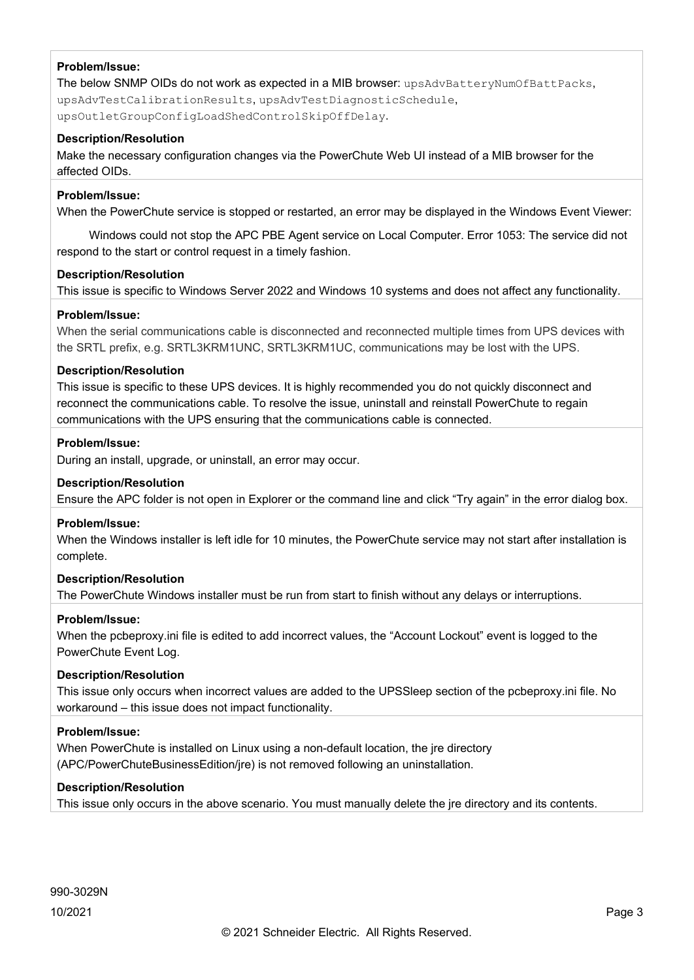The below SNMP OIDs do not work as expected in a MIB browser: upsAdvBatteryNumOfBattPacks, upsAdvTestCalibrationResults, upsAdvTestDiagnosticSchedule, upsOutletGroupConfigLoadShedControlSkipOffDelay.

### **Description/Resolution**

Make the necessary configuration changes via the PowerChute Web UI instead of a MIB browser for the affected OIDs.

#### **Problem/Issue:**

When the PowerChute service is stopped or restarted, an error may be displayed in the Windows Event Viewer:

 Windows could not stop the APC PBE Agent service on Local Computer. Error 1053: The service did not respond to the start or control request in a timely fashion.

#### **Description/Resolution**

This issue is specific to Windows Server 2022 and Windows 10 systems and does not affect any functionality.

### **Problem/Issue:**

When the serial communications cable is disconnected and reconnected multiple times from UPS devices with the SRTL prefix, e.g. SRTL3KRM1UNC, SRTL3KRM1UC, communications may be lost with the UPS.

#### **Description/Resolution**

This issue is specific to these UPS devices. It is highly recommended you do not quickly disconnect and reconnect the communications cable. To resolve the issue, uninstall and reinstall PowerChute to regain communications with the UPS ensuring that the communications cable is connected.

#### **Problem/Issue:**

During an install, upgrade, or uninstall, an error may occur.

### **Description/Resolution**

Ensure the APC folder is not open in Explorer or the command line and click "Try again" in the error dialog box.

#### **Problem/Issue:**

When the Windows installer is left idle for 10 minutes, the PowerChute service may not start after installation is complete.

# **Description/Resolution**

The PowerChute Windows installer must be run from start to finish without any delays or interruptions.

#### **Problem/Issue:**

When the pcbeproxy.ini file is edited to add incorrect values, the "Account Lockout" event is logged to the PowerChute Event Log.

# **Description/Resolution**

This issue only occurs when incorrect values are added to the UPSSleep section of the pcbeproxy.ini file. No workaround – this issue does not impact functionality.

# **Problem/Issue:**

When PowerChute is installed on Linux using a non-default location, the jre directory (APC/PowerChuteBusinessEdition/jre) is not removed following an uninstallation.

# **Description/Resolution**

This issue only occurs in the above scenario. You must manually delete the jre directory and its contents.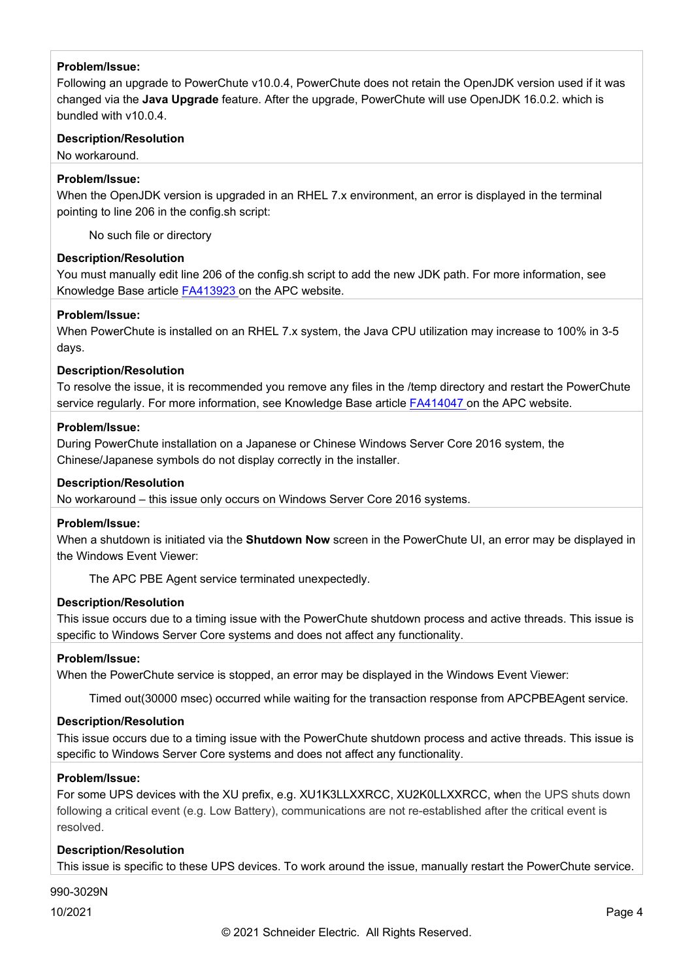Following an upgrade to PowerChute v10.0.4, PowerChute does not retain the OpenJDK version used if it was changed via the **Java Upgrade** feature. After the upgrade, PowerChute will use OpenJDK 16.0.2. which is bundled with v10.0.4.

# **Description/Resolution**

No workaround.

# **Problem/Issue:**

When the OpenJDK version is upgraded in an RHEL 7.x environment, an error is displayed in the terminal pointing to line 206 in the config.sh script:

No such file or directory

# **Description/Resolution**

You must manually edit line 206 of the config.sh script to add the new JDK path. For more information, see Knowledge Base article [FA413923 o](https://www.apc.com/us/en/faqs/FA413923/)n the APC website.

# **Problem/Issue:**

When PowerChute is installed on an RHEL 7.x system, the Java CPU utilization may increase to 100% in 3-5 days.

# **Description/Resolution**

To resolve the issue, it is recommended you remove any files in the /temp directory and restart the PowerChute service regularly. For more information, see Knowledge Base article [FA414047 o](https://www.apc.com/jp/ja/faqs/FA414047/)n the APC website.

# **Problem/Issue:**

During PowerChute installation on a Japanese or Chinese Windows Server Core 2016 system, the Chinese/Japanese symbols do not display correctly in the installer.

# **Description/Resolution**

No workaround – this issue only occurs on Windows Server Core 2016 systems.

# **Problem/Issue:**

When a shutdown is initiated via the **Shutdown Now** screen in the PowerChute UI, an error may be displayed in the Windows Event Viewer:

The APC PBE Agent service terminated unexpectedly.

# **Description/Resolution**

This issue occurs due to a timing issue with the PowerChute shutdown process and active threads. This issue is specific to Windows Server Core systems and does not affect any functionality.

# **Problem/Issue:**

When the PowerChute service is stopped, an error may be displayed in the Windows Event Viewer:

Timed out(30000 msec) occurred while waiting for the transaction response from APCPBEAgent service.

# **Description/Resolution**

This issue occurs due to a timing issue with the PowerChute shutdown process and active threads. This issue is specific to Windows Server Core systems and does not affect any functionality.

# **Problem/Issue:**

For some UPS devices with the XU prefix, e.g. XU1K3LLXXRCC, XU2K0LLXXRCC, when the UPS shuts down following a critical event (e.g. Low Battery), communications are not re-established after the critical event is resolved.

# **Description/Resolution**

This issue is specific to these UPS devices. To work around the issue, manually restart the PowerChute service.

# 990-3029N

10/2021 Page 4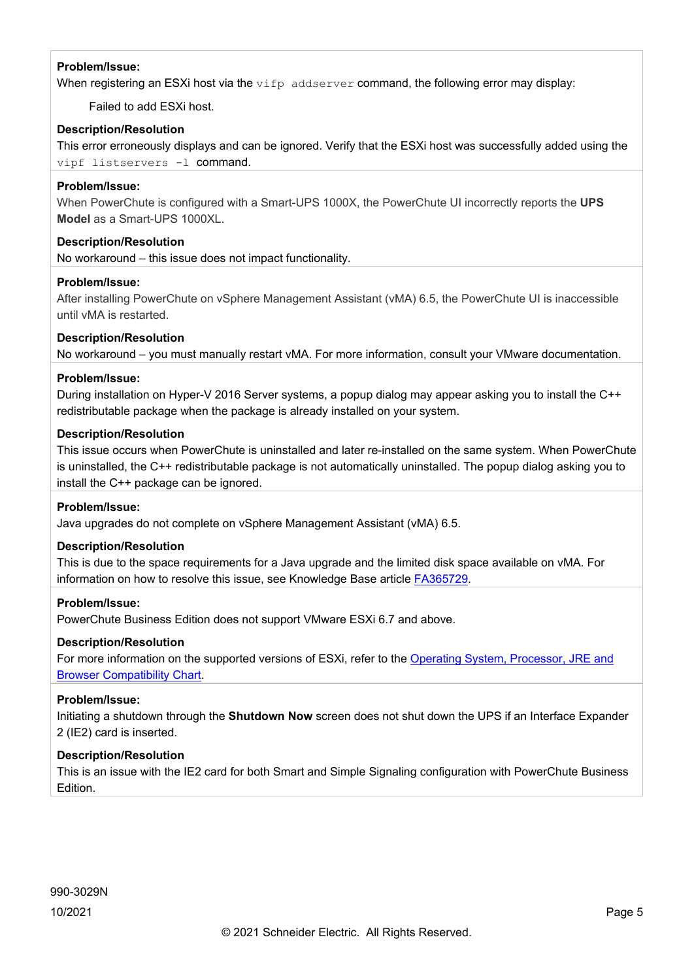When registering an ESXi host via the vifp addserver command, the following error may display:

Failed to add ESXi host.

# **Description/Resolution**

This error erroneously displays and can be ignored. Verify that the ESXi host was successfully added using the vipf listservers -l command.

# **Problem/Issue:**

When PowerChute is configured with a Smart-UPS 1000X, the PowerChute UI incorrectly reports the **UPS Model** as a Smart-UPS 1000XL.

# **Description/Resolution**

No workaround – this issue does not impact functionality.

# **Problem/Issue:**

After installing PowerChute on vSphere Management Assistant (vMA) 6.5, the PowerChute UI is inaccessible until vMA is restarted.

# **Description/Resolution**

No workaround – you must manually restart vMA. For more information, consult your VMware documentation.

# **Problem/Issue:**

During installation on Hyper-V 2016 Server systems, a popup dialog may appear asking you to install the C++ redistributable package when the package is already installed on your system.

# **Description/Resolution**

This issue occurs when PowerChute is uninstalled and later re-installed on the same system. When PowerChute is uninstalled, the C++ redistributable package is not automatically uninstalled. The popup dialog asking you to install the C++ package can be ignored.

# **Problem/Issue:**

Java upgrades do not complete on vSphere Management Assistant (vMA) 6.5.

# **Description/Resolution**

This is due to the space requirements for a Java upgrade and the limited disk space available on vMA. For information on how to resolve this issue, see Knowledge Base article [FA365729.](https://www.apc.com/us/en/faqs/FA365729/)

# **Problem/Issue:**

PowerChute Business Edition does not support VMware ESXi 6.7 and above.

# **Description/Resolution**

For more information on the supported versions of ESXi, refer to the [Operating System, Processor, JRE and](http://www.apc.com/wp/?um=100)  [Browser Compatibility Chart.](http://www.apc.com/wp/?um=100)

# **Problem/Issue:**

Initiating a shutdown through the **Shutdown Now** screen does not shut down the UPS if an Interface Expander 2 (IE2) card is inserted.

# **Description/Resolution**

This is an issue with the IE2 card for both Smart and Simple Signaling configuration with PowerChute Business Edition.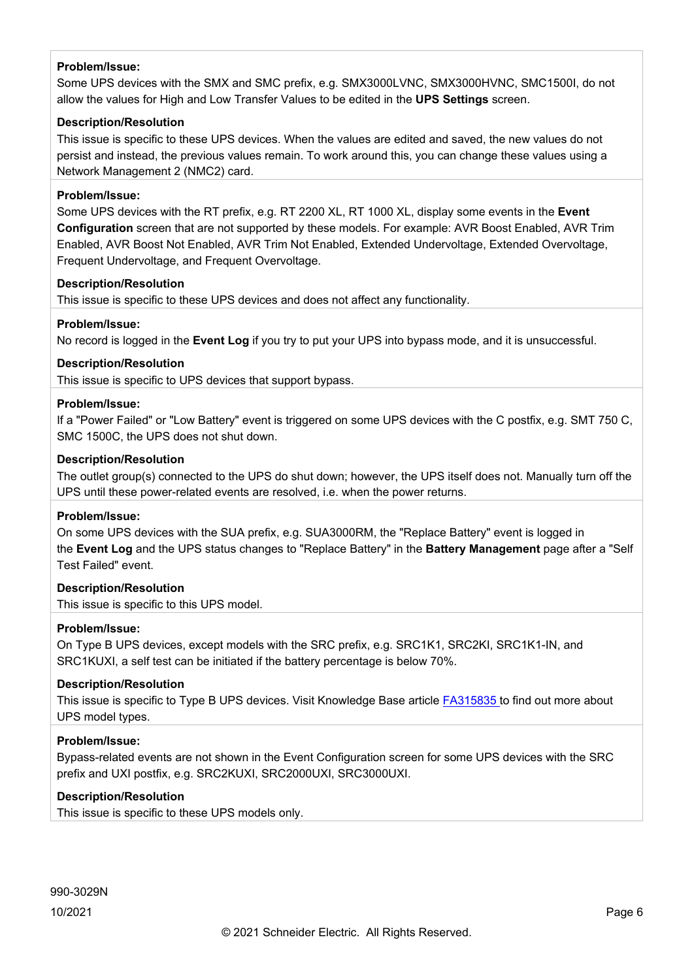Some UPS devices with the SMX and SMC prefix, e.g. SMX3000LVNC, SMX3000HVNC, SMC1500I, do not allow the values for High and Low Transfer Values to be edited in the **UPS Settings** screen.

#### **Description/Resolution**

This issue is specific to these UPS devices. When the values are edited and saved, the new values do not persist and instead, the previous values remain. To work around this, you can change these values using a Network Management 2 (NMC2) card.

#### **Problem/Issue:**

Some UPS devices with the RT prefix, e.g. RT 2200 XL, RT 1000 XL, display some events in the **Event Configuration** screen that are not supported by these models. For example: AVR Boost Enabled, AVR Trim Enabled, AVR Boost Not Enabled, AVR Trim Not Enabled, Extended Undervoltage, Extended Overvoltage, Frequent Undervoltage, and Frequent Overvoltage.

#### **Description/Resolution**

This issue is specific to these UPS devices and does not affect any functionality.

# **Problem/Issue:**

No record is logged in the **Event Log** if you try to put your UPS into bypass mode, and it is unsuccessful.

## **Description/Resolution**

This issue is specific to UPS devices that support bypass.

### **Problem/Issue:**

If a "Power Failed" or "Low Battery" event is triggered on some UPS devices with the C postfix, e.g. SMT 750 C, SMC 1500C, the UPS does not shut down.

#### **Description/Resolution**

The outlet group(s) connected to the UPS do shut down; however, the UPS itself does not. Manually turn off the UPS until these power-related events are resolved, i.e. when the power returns.

#### **Problem/Issue:**

On some UPS devices with the SUA prefix, e.g. SUA3000RM, the "Replace Battery" event is logged in the **Event Log** and the UPS status changes to "Replace Battery" in the **Battery Management** page after a "Self Test Failed" event.

# **Description/Resolution**

This issue is specific to this UPS model.

# **Problem/Issue:**

On Type B UPS devices, except models with the SRC prefix, e.g. SRC1K1, SRC2KI, SRC1K1-IN, and SRC1KUXI, a self test can be initiated if the battery percentage is below 70%.

# **Description/Resolution**

This issue is specific to Type B UPS devices. Visit Knowledge Base article [FA315835](http://www.apc.com/us/en/faqs/FA315835/) to find out more about UPS model types.

#### **Problem/Issue:**

Bypass-related events are not shown in the Event Configuration screen for some UPS devices with the SRC prefix and UXI postfix, e.g. SRC2KUXI, SRC2000UXI, SRC3000UXI.

# **Description/Resolution**

This issue is specific to these UPS models only.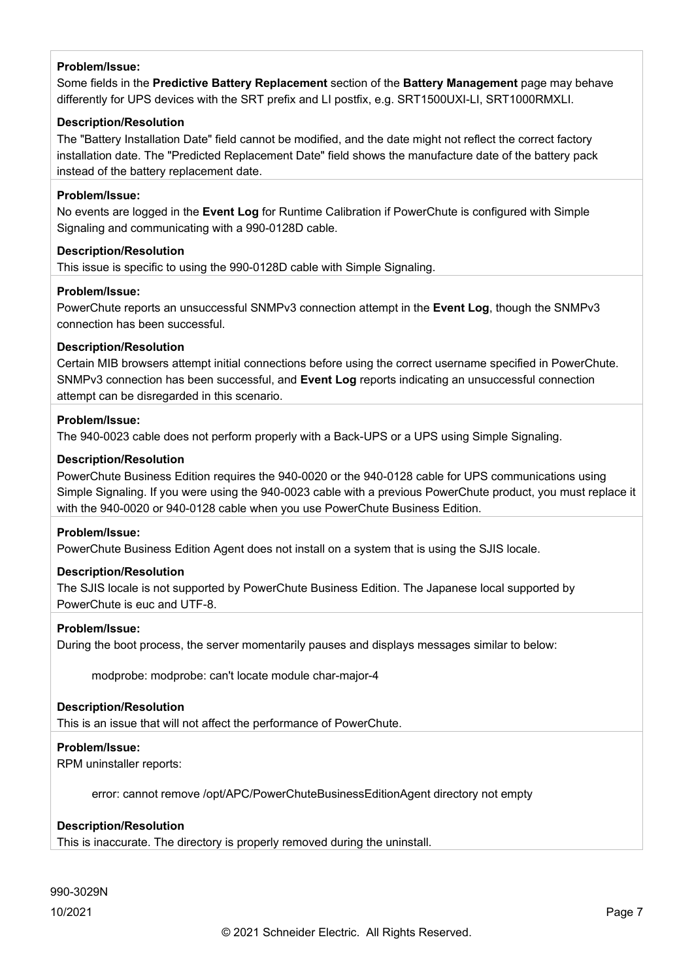Some fields in the **Predictive Battery Replacement** section of the **Battery Management** page may behave differently for UPS devices with the SRT prefix and LI postfix, e.g. SRT1500UXI-LI, SRT1000RMXLI.

# **Description/Resolution**

The "Battery Installation Date" field cannot be modified, and the date might not reflect the correct factory installation date. The "Predicted Replacement Date" field shows the manufacture date of the battery pack instead of the battery replacement date.

#### **Problem/Issue:**

No events are logged in the **Event Log** for Runtime Calibration if PowerChute is configured with Simple Signaling and communicating with a 990-0128D cable.

#### **Description/Resolution**

This issue is specific to using the 990-0128D cable with Simple Signaling.

#### **Problem/Issue:**

PowerChute reports an unsuccessful SNMPv3 connection attempt in the **Event Log**, though the SNMPv3 connection has been successful.

#### **Description/Resolution**

Certain MIB browsers attempt initial connections before using the correct username specified in PowerChute. SNMPv3 connection has been successful, and **Event Log** reports indicating an unsuccessful connection attempt can be disregarded in this scenario.

#### **Problem/Issue:**

The 940-0023 cable does not perform properly with a Back-UPS or a UPS using Simple Signaling.

#### **Description/Resolution**

PowerChute Business Edition requires the 940-0020 or the 940-0128 cable for UPS communications using Simple Signaling. If you were using the 940-0023 cable with a previous PowerChute product, you must replace it with the 940-0020 or 940-0128 cable when you use PowerChute Business Edition.

#### **Problem/Issue:**

PowerChute Business Edition Agent does not install on a system that is using the SJIS locale.

# **Description/Resolution**

The SJIS locale is not supported by PowerChute Business Edition. The Japanese local supported by PowerChute is euc and UTF-8.

#### **Problem/Issue:**

During the boot process, the server momentarily pauses and displays messages similar to below:

modprobe: modprobe: can't locate module char-major-4

# **Description/Resolution**

This is an issue that will not affect the performance of PowerChute.

# **Problem/Issue:**

RPM uninstaller reports:

error: cannot remove /opt/APC/PowerChuteBusinessEditionAgent directory not empty

# **Description/Resolution**

This is inaccurate. The directory is properly removed during the uninstall.